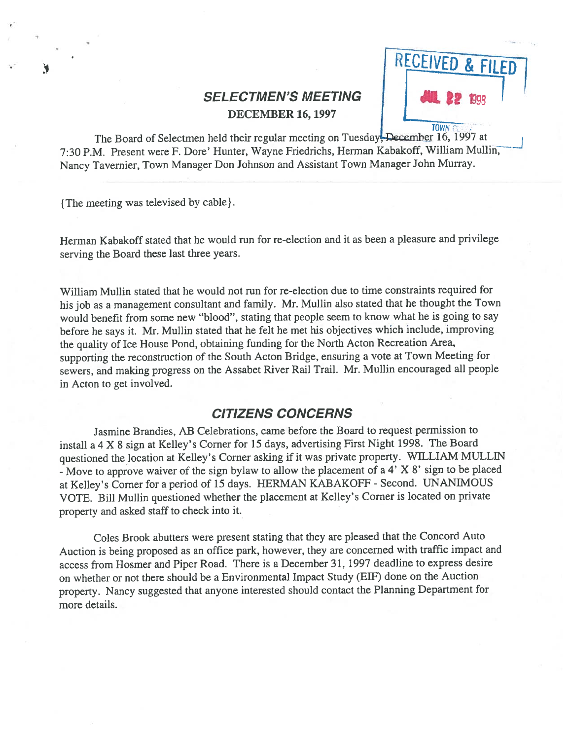# **SELECTMEN'S MEETING** DECEMBER 16, 1997



The Board of Selectmen held their regular meeting on Tuesday, December 16, 1997 at 7:30 P.M. Present were F. Dore' Hunter, Wayne Friedrichs, Herman Kabakoff, William Mullin Nancy Tavernier, Town Manager Don Johnson and Assistant Town Manager John Murray.

{The meeting was televised by cable}.

Herman Kabakoff stated that he would run for re-election and it as been <sup>a</sup> pleasure and privilege serving the Board these last three years.

William Mullin stated that he would not run for re-election due to time constraints required for his job as <sup>a</sup> managemen<sup>t</sup> consultant and family. Mr. Mullin also stated that he thought the Town would benefit from some new "blood", stating that people seem to know what he is going to say before he says it. Mr. Mullin stated that he felt he met his objectives which include, improving the quality of Ice House Pond, obtaining funding for the North Acton Recreation Area, supporting the reconstruction of the South Acton Bridge, ensuring <sup>a</sup> vote at Town Meeting for sewers, and making progress on the Assabet River Rail Trail. Mr. Mullin encourage<sup>d</sup> all people in Acton to ge<sup>t</sup> involved.

## CITIZENS CONCERNS

Jasmine Brandies, AB Celebrations, came before the Board to reques<sup>t</sup> permission to install <sup>a</sup> <sup>4</sup> <sup>X</sup> <sup>8</sup> sign at Kelley's Corner for <sup>15</sup> days, advertising First Night 1998. The Board questioned the location at Kelley's Corner asking if it was private property. WILLIAM MULLIN -Move to approve waiver of the sign bylaw to allow the <sup>p</sup>lacement of <sup>a</sup> 4' <sup>X</sup> 8' sign to be <sup>p</sup>laced at Kelley's Corner for <sup>a</sup> period of <sup>15</sup> days. HERMAN KABAKOFF - Second. UNANIMOUS VOTE. Bill Mullin questioned whether the <sup>p</sup>lacement at Kelley's Corner is located on private property and asked staff to check into it.

Coles Brook abutters were present stating that they are pleased that the Concord Auto Auction is being propose<sup>d</sup> as an office park, however, they are concerned with traffic impact and access from Hosmer and Piper Road. There is <sup>a</sup> December 31, <sup>1997</sup> deadline to express desire on whether or not there should be <sup>a</sup> Environmental Impact Study (ElF) done on the Auction property. Nancy suggested that anyone interested should contact the Planning Department for more details.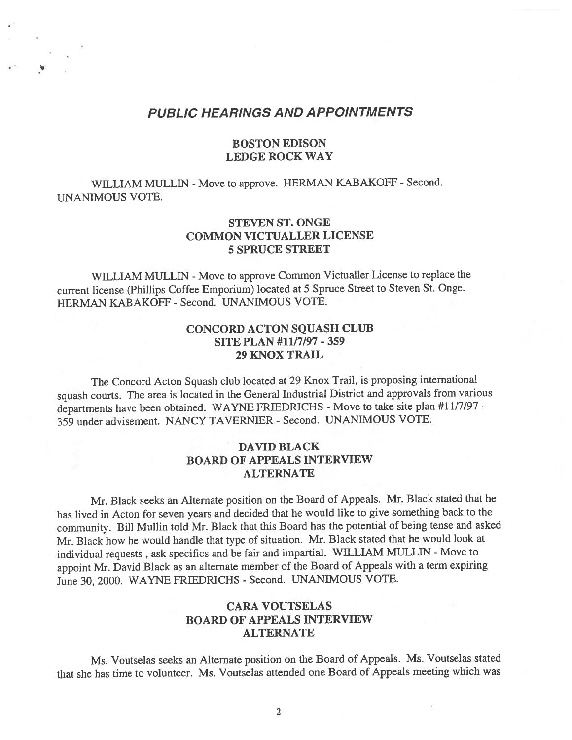### PUBLIC HEARINGS AND APPOINTMENTS

### BOSTON EDISON LEDGE ROCK WAY

WILLIAM MULLIN - Move to approve. HERMAN KABAKOFF - Second. UNANIMOUS VOTE.

### STEVEN ST. ONGE COMMON VICTUALLER LICENSE 5 SPRUCE STREET

WILLIAM MULLIN - Move to approve Common Victualler License to replace the current license (Phillips Coffee Emporium) located at <sup>5</sup> Spruce Street to Steven St. Onge. HERMAN KABAKOFF - Second. UNANIMOUS VOTE.

### CONCORD ACTON SQUASH CLUB SITE PLAN #11/7/97 - 359 29 KNOX TRAIL

The Concord Acton Squash club located at <sup>29</sup> Knox Trail, is proposing international squas<sup>h</sup> courts. The area is located in the General Industrial District and approvals from various departments have been obtained. WAYNE FRIEDRICHS - Move to take site plan #11/7/97 -359 under advisement. NANCY TAVERNIER -Second. UNANIMOUS VOTE.

### DAVID BLACK BOARD OF APPEALS INTERVIEW ALTERNATE

Mr. Black seeks an Alternate position on the Board of Appeals. Mr. Black stated that he has lived in Acton for seven years and decided that he would like to <sup>g</sup>ive something back to the community. Bill Mullin told Mr. Black that this Board has the potential of being tense and asked Mr. Black how he would handle that type of situation. Mr. Black stated that he would look at individual requests , ask specifics and be fair and impartial. WILLIAM MULLIN -Move to appoint Mr. David Black as an alternate member of the Board of Appeals with <sup>a</sup> term expiring June 30, 2000. WAYNE FRTEDRICHS - Second. UNANIMOUS VOTE.

## CARA VOUTSELAS BOARD OF APPEALS INTERVIEW ALTERNATE

Ms. Voutselas seeks an Alternate position on the Board of Appeals. Ms. Voutselas stated that she has time to volunteer. Ms. Voutselas attended one Board of Appeals meeting which was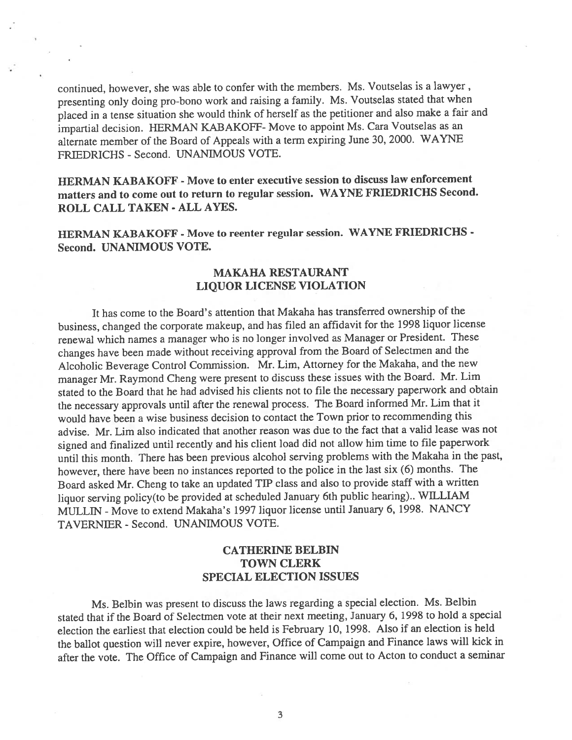continued, however, she was able to confer with the members. Ms. Voutselas is <sup>a</sup> lawyer, presenting only doing pro-bono work and raising <sup>a</sup> family. Ms. Voutselas stated that when <sup>p</sup>laced in <sup>a</sup> tense situation she would think of herself as the petitioner and also make <sup>a</sup> fair and impartial decision. HERMAN KABAKOFF- Move to appoint Ms. Cara Voutselas as an alternate member of the Board of Appeals with <sup>a</sup> term expiring June 30, 2000. WAYNE FRIEDRICHS - Second. UNANIMOUS VOTE.

HERMAN KABAKOFF - Move to enter executive session to discuss law enforcement matters and to come out to return to regular session. WAYNE FRIEDRICHS Second. ROLL CALL TAKEN - ALL AYES.

HERMAN KABAKOFF - Move to reenter regular session. WAYNE FRIEDRICHS - Second. UNANIMOUS VOTE.

### MAKAHA RESTAURANT LIQUOR LICENSE VIOLATION

It has come to the Board's attention that Makaha has transferred ownership of the business, changed the corporate makeup, and has filed an affidavit for the <sup>1998</sup> liquor license renewal which names <sup>a</sup> manager who is no longer involved as Manager or President. These changes have been made without receiving approva<sup>l</sup> from the Board of Selectmen and the Alcoholic Beverage Control Commission. Mr. Lim, Attorney for the Makaha, and the new manager Mr. Raymond Cheng were presen<sup>t</sup> to discuss these issues with the Board. Mr. Lim stated to the Board that he had advised his clients not to file the necessary paperwork and obtain the necessary approvals until after the renewal process. The Board informed Mr. Lim that it would have been <sup>a</sup> wise business decision to contact the Town prior to recommending this advise. Mr. Lim also indicated that another reason was due to the fact that <sup>a</sup> valid lease was not signed and finalized until recently and his client load did not allow him time to file paperwork until this month. There has been previous alcohol serving problems with the Makaha in the past, however, there have been no instances reported to the police in the last six (6) months. The Board asked Mr. Cheng to take an updated TIP class and also to provide staff with <sup>a</sup> written liquor serving policy(to be provided at scheduled January 6th public hearing).. WILLIAM MULLIN - Move to extend Makaha's 1997 liquor license until January 6, 1998. NANCY TAVERNIER - Second. UNANIMOUS VOTE.

### CATHERINE BELBIN TOWN CLERK SPECIAL ELECTION ISSUES

Ms. Belbin was presen<sup>t</sup> to discuss the laws regarding <sup>a</sup> special election. Ms. Belbin stated that if the Board of Selectmen vote at their next meeting, January 6, 1998 to hold <sup>a</sup> special election the earliest that election could be held is February 10, 1998. Also if an election is held the ballot question will never expire, however, Office of Campaign and Finance laws will kick in after the vote. The Office of Campaign and Finance will come out to Acton to conduct <sup>a</sup> seminar

3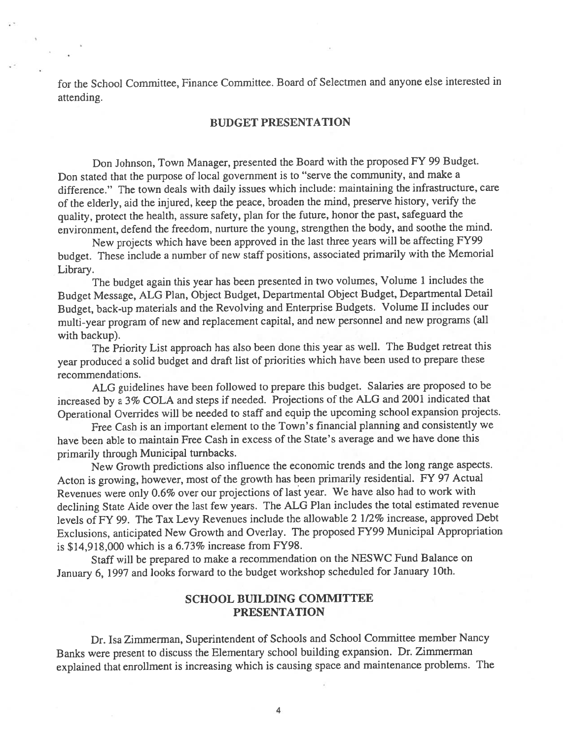for the School Committee, Finance Committee. Board of Selectmen and anyone else interested in attending.

### BUDGET PRESENTATION

Don Johnson, Town Manager, presented the Board with the propose<sup>d</sup> FY <sup>99</sup> Budget. Don stated that the purpose of local governmen<sup>t</sup> is to "serve the community, and make <sup>a</sup> difference." The town deals with daily issues which include: maintaining the infrastructure, care of the elderly, aid the injured, keep the peace, broaden the mind, preserve history, verify the quality, protect the health, assure safety, <sup>p</sup>lan for the future, honor the past, safeguard the environment, defend the freedom, nurture the young, strengthen the body, and soothe the mind.

New projects which have been approve<sup>d</sup> in the last three years will be affecting FY99 budget. These include <sup>a</sup> number of new staff positions, associated primarily with the Memorial Library.

The budget again this year has been presented in two volumes, Volume <sup>1</sup> includes the Budget Message, ALG Plan, Object Budget, Departmental Object Budget, Departmental Detail Budget, back-up materials and the Revolving and Enterprise Budgets. Volume II includes our multi-year program of new and replacement capital, and new personne<sup>l</sup> and new programs (all with backup).

The Priority List approac<sup>h</sup> has also been done this year as well. The Budget retreat this year produced <sup>a</sup> solid budget and draft list of priorities which have been used to prepare these recommendations.

ALG guidelines have been followed to prepare this budget. Salaries are propose<sup>d</sup> to be increased by <sup>a</sup> 3% COLA and steps if needed. Projections of the ALG and <sup>2001</sup> indicated that Operational Overrides will be needed to staff and equip the upcoming school expansion projects.

Free Cash is an important element to the Town's financial <sup>p</sup>lanning and consistently we have been able to maintain Free Cash in excess of the State's average and we have done this primarily through Municipal turnbacks.

New Growth predictions also influence the economic trends and the long range aspects. Acton is growing, however, most of the growth has been primarily residential. FY <sup>97</sup> Actual Revenues were only 0.6% over our projections of last year. We have also had to work with declining State Aide over the last few years. The ALG Plan includes the total estimated revenue levels of FY 99. The Tax Levy Revenues include the allowable <sup>2</sup> 1/2% increase, approve<sup>d</sup> Debt Exclusions, anticipated New Growth and Overlay. The propose<sup>d</sup> FY99 Municipal Appropriation is \$14,918,000 which is <sup>a</sup> 6.73% increase from FY98.

Staff will be prepare<sup>d</sup> to make <sup>a</sup> recommendation on the NESWC Fund Balance on January 6, <sup>1997</sup> and looks forward to the budget workshop scheduled for January 10th.

### SCHOOL BUILDING COMMITTEE PRESENTATION

Dr. Isa Zimmerman, Superintendent of Schools and School Committee member Nancy Banks were presen<sup>t</sup> to discuss the Elementary school building expansion. Dr. Zimmerman explained that enrollment is increasing which is causing space and maintenance problems. The

4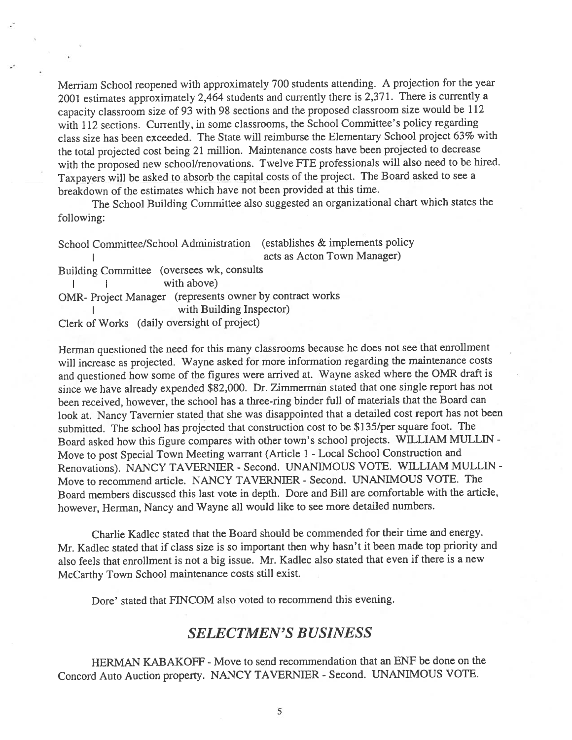Merriam School reopene<sup>d</sup> with approximately <sup>700</sup> students attending. <sup>A</sup> projection for the year <sup>2001</sup> estimates approximately 2,464 students and currently there is 2,371. There is currently <sup>a</sup> capacity classroom size of <sup>93</sup> with <sup>98</sup> sections and the propose<sup>d</sup> classroom size would be <sup>112</sup> with <sup>112</sup> sections. Currently, in some classrooms, the School Committee's policy regarding class size has been exceeded. The State will reimburse the Elementary School project 63% with the total projected cost being <sup>21</sup> million. Maintenance costs have been projected to decrease with the proposed new school/renovations. Twelve FTE professionals will also need to be hired. Taxpayers will be asked to absorb the capital costs of the project. The Board asked to see <sup>a</sup> breakdown of the estimates which have not been provided at this time.

The School Building Committee also suggested an organizational chart which states the following:

School Committee/School Administration (establishes & implements policy acts as Acton Town Manager) Building Committee (oversees wk, consults I with above) OMR- Project Manager (represents owner by contract works with Building Inspector) Clerk of Works (daily oversight of project)

Herman questioned the need for this many classrooms because he does not see that enrollment will increase as projected. Wayne asked for more information regarding the maintenance costs and questioned how some of the figures were arrived at. Wayne asked where the OMR draft is since we have already expended \$82,000. Dr. Zimmerman stated that one single repor<sup>t</sup> has not been received, however, the school has <sup>a</sup> three-ring binder full of materials that the Board can look at. Nancy Tavernier stated that she was disappointed that <sup>a</sup> detailed cost repor<sup>t</sup> has not been submitted. The school has projected that construction cost to be \$135/per square foot. The Board asked how this figure compares with other town's school projects. WILLIAM MULLIN - Move to pos<sup>t</sup> Special Town Meeting warrant (Article <sup>1</sup> -Local School Construction and Renovations). NANCY TAVERNIER - Second. UNANIMOUS VOTE. WILLIAM MULLIN -Move to recommend article. NANCY TAVERN1ER -Second. UNANIMOUS VOTE. The Board members discussed this last vote in depth. Dore and Bill are comfortable with the article, however, Herman, Nancy and Wayne all would like to see more detailed numbers.

Charlie Kadlec stated that the Board should be commended for their time and energy. Mr. Kadlec stated that if class size is so important then why hasn't it been made top priority and also feels that enrollment is not <sup>a</sup> big issue. Mr. Kadlec also stated that even if there is <sup>a</sup> new McCarthy Town School maintenance costs still exist.

Dore' stated that FINCOM also voted to recommend this evening.

# SELECTMEN'S BUSINESS

HERMAN KABAKOFF - Move to send recommendation that an ENF be done on the Concord Auto Auction property. NANCY TAVERNIER - Second. UNANIMOUS VOTE.

5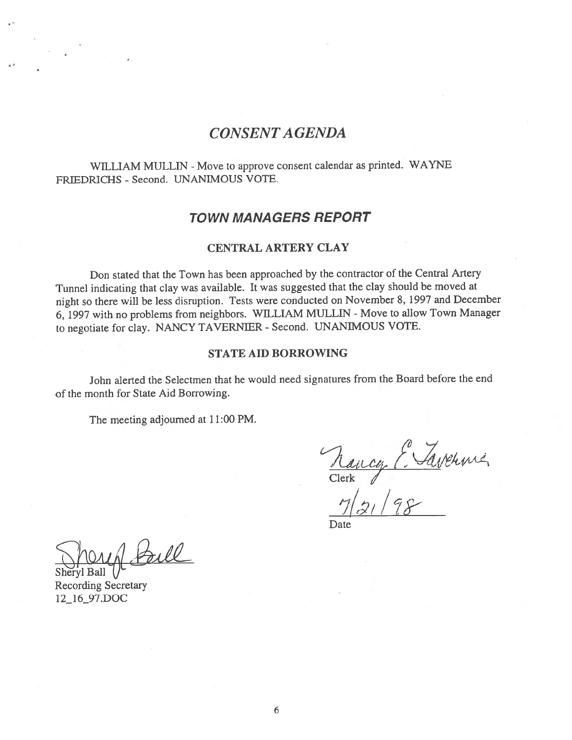# CONSENT A GENDA

WILLIAM MULLIN - Move to approve consent calendar as printed. WAYNE FRIEDRICHS - Second. UNANIMOUS VOTE.

## TOWN MANAGERS REPORT

### CENTRAL ARTERY CLAY

Don stated that the Town has been approached by the contractor of the Central Artery Tunnel indicating that clay was available. It was suggested that the clay should be moved at night so there will be less disruption. Tests were conducted on November 8, <sup>1997</sup> and December 6, 1997 with no problems from neighbors. WILLIAM MULLIN - Move to allow Town Manager to negotiate for clay. NANCY TAVERNIER - Second. UNANIMOUS VOTE.

#### STATE AID BORROWING

John alerted the Selectmen that he would need signatures from the Board before the end of the month for State Aid Borrowing.

The meeting adjourned at 11:00 PM.

 $Clerk$ 

 $7|z_1|$ 

Date

**Ball** 

Recording Secretary 12\_16\_97.DOC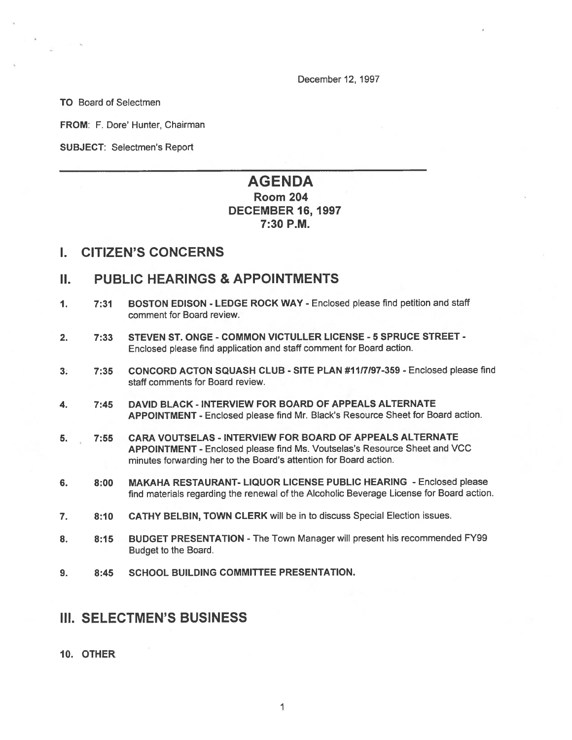December 12, 1997

TO Board of Selectmen

FROM: F. Dore' Hunter, Chairman

SUBJECT: Selectmen's Report

# AGENDA Room 204 DECEMBER 16, 1997 7:30 P.M.

## I. CITIZEN'S CONCERNS

## II. PUBLIC HEARINGS & APPOINTMENTS

- 1. 7:31 BOSTON EDISON LEDGE ROCK WAY Enclosed please find petition and staff comment for Board review.
- 2. 7:33 STEVEN ST. ONGE COMMON VICTULLER LICENSE 5 SPRUCE STREET -Enclosed <sup>p</sup>lease find application and staff comment for Board action.
- 3. 7:35 CONCORD ACTON SQUASH CLUB SITE PLAN #1117197-359 Enclosed please find staff comments for Board review.
- 4. 7:45 DAVID BLACK INTERVIEW FOR BOARD OF APPEALS ALTERNATE APPOINTMENT - Enclosed please find Mr. Black's Resource Sheet for Board action.
- 5. 7:55 CARA VOUTSELAS INTERVIEW FOR BOARD OF APPEALS ALTERNATE APPOINTMENT - Enclosed please find Ms. Voutselas's Resource Sheet and VCC minutes forwarding her to the Board's attention for Board action.
- 6. 8:00 MAKAHA RESTAURANT- LIQUOR LICENSE PUBLIC HEARING Enclosed please find materials regarding the renewal of the Alcoholic Beverage License for Board action.
- 7. 8:10 CATHY BELBIN, TOWN CLERK will be in to discuss Special Election issues.
- 8. 8:15 BUDGET PRESENTATION The Town Manager will present his recommended FY99 Budget to the Board.
- 9. 8:45 SCHOOL BUILDING COMMITTEE PRESENTATION.

## III. SELECTMEN'S BUSINESS

#### 10. OTHER

I